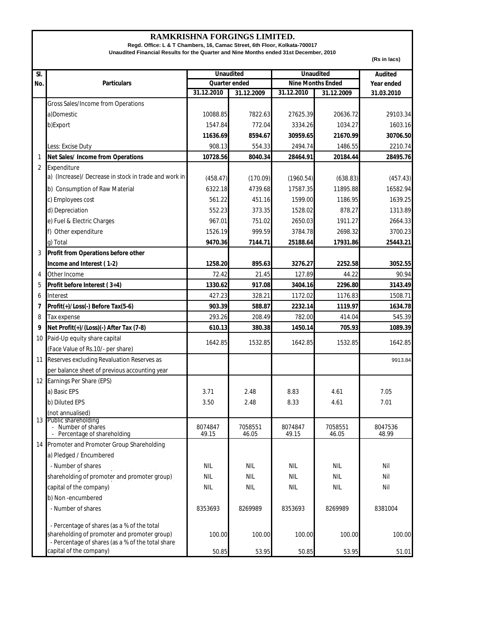## **RAMKRISHNA FORGINGS LIMITED.**

## **Regd. Office: L & T Chambers, 16, Camac Street, 6th Floor, Kolkata-700017**

**Unaudited Financial Results for the Quarter and Nine Months ended 31st December, 2010**

|                |                                                                              |               |            |                   |            | (Rs in lacs) |
|----------------|------------------------------------------------------------------------------|---------------|------------|-------------------|------------|--------------|
| SI.            | Particulars                                                                  | Unaudited     |            | Unaudited         |            | Audited      |
| No.            |                                                                              | Quarter ended |            | Nine Months Ended |            | Year ended   |
|                |                                                                              | 31.12.2010    | 31.12.2009 | 31.12.2010        | 31.12.2009 | 31.03.2010   |
|                | Gross Sales/Income from Operations                                           |               |            |                   |            |              |
|                | a)Domestic                                                                   | 10088.85      | 7822.63    | 27625.39          | 20636.72   | 29103.34     |
|                | b)Export                                                                     | 1547.84       | 772.04     | 3334.26           | 1034.27    | 1603.16      |
|                |                                                                              | 11636.69      | 8594.67    | 30959.65          | 21670.99   | 30706.50     |
|                | Less: Excise Duty                                                            | 908.13        | 554.33     | 2494.74           | 1486.55    | 2210.74      |
| 1              | Net Sales/ Income from Operations                                            | 10728.56      | 8040.34    | 28464.91          | 20184.44   | 28495.76     |
| $\overline{2}$ | Expenditure                                                                  |               |            |                   |            |              |
|                | a) (Increase)/ Decrease in stock in trade and work in                        | (458.47)      | (170.09)   | (1960.54)         | (638.83)   | (457.43)     |
|                | b) Consumption of Raw Material                                               | 6322.18       | 4739.68    | 17587.35          | 11895.88   | 16582.94     |
|                | c) Employees cost                                                            | 561.22        | 451.16     | 1599.00           | 1186.95    | 1639.25      |
|                | d) Depreciation                                                              | 552.23        | 373.35     | 1528.02           | 878.27     | 1313.89      |
|                | e) Fuel & Electric Charges                                                   | 967.01        | 751.02     | 2650.03           | 1911.27    | 2664.33      |
|                | f) Other expenditure                                                         | 1526.19       | 999.59     | 3784.78           | 2698.32    | 3700.23      |
|                | g) Total                                                                     | 9470.36       | 7144.71    | 25188.64          | 17931.86   | 25443.21     |
| 3              | Profit from Operations before other                                          |               |            |                   |            |              |
|                | Income and Interest (1-2)                                                    | 1258.20       | 895.63     | 3276.27           | 2252.58    | 3052.55      |
| 4              | Other Income                                                                 | 72.42         | 21.45      | 127.89            | 44.22      | 90.94        |
| 5              | Profit before Interest (3+4)                                                 | 1330.62       | 917.08     | 3404.16           | 2296.80    | 3143.49      |
| 6              | Interest                                                                     | 427.23        | 328.21     | 1172.02           | 1176.83    | 1508.71      |
| 7              | Profit(+)/Loss(-) Before Tax(5-6)                                            | 903.39        | 588.87     | 2232.14           | 1119.97    | 1634.78      |
| 8              | Tax expense                                                                  | 293.26        | 208.49     | 782.00            | 414.04     | 545.39       |
| 9              | Net Profit(+)/(Loss)(-) After Tax (7-8)                                      | 610.13        | 380.38     | 1450.14           | 705.93     | 1089.39      |
| 10             | Paid-Up equity share capital                                                 | 1642.85       | 1532.85    | 1642.85           | 1532.85    | 1642.85      |
|                | (Face Value of Rs.10/- per share)                                            |               |            |                   |            |              |
|                | 11 Reserves excluding Revaluation Reserves as                                |               |            |                   |            | 9913.84      |
|                | per balance sheet of previous accounting year                                |               |            |                   |            |              |
|                | 12 Earnings Per Share (EPS)                                                  |               |            |                   |            |              |
|                | a) Basic EPS                                                                 | 3.71          | 2.48       | 8.83              | 4.61       | 7.05         |
|                | b) Diluted EPS                                                               | 3.50          | 2.48       | 8.33              | 4.61       | 7.01         |
|                | (not annualised)                                                             |               |            |                   |            |              |
|                | 13 Public shareholding<br>- Number of shares                                 | 8074847       | 7058551    | 8074847           | 7058551    | 8047536      |
|                | Percentage of shareholding                                                   | 49.15         | 46.05      | 49.15             | 46.05      | 48.99        |
|                | 14 Promoter and Promoter Group Shareholding                                  |               |            |                   |            |              |
|                | a) Pledged / Encumbered                                                      |               |            |                   |            |              |
|                | - Number of shares                                                           | <b>NIL</b>    | NIL        | NIL               | NIL        | Nil          |
|                | shareholding of promoter and promoter group)                                 | <b>NIL</b>    | <b>NIL</b> | NIL               | <b>NIL</b> | Nil          |
|                | capital of the company)                                                      | NIL           | NIL        | NIL               | NIL        | Nil          |
|                | b) Non-encumbered                                                            |               |            |                   |            |              |
|                | - Number of shares                                                           | 8353693       | 8269989    | 8353693           | 8269989    | 8381004      |
|                | - Percentage of shares (as a % of the total                                  |               |            |                   |            |              |
|                | shareholding of promoter and promoter group)                                 | 100.00        | 100.00     | 100.00            | 100.00     | 100.00       |
|                | - Percentage of shares (as a % of the total share<br>capital of the company) |               |            |                   |            |              |
|                |                                                                              | 50.85         | 53.95      | 50.85             | 53.95      | 51.01        |